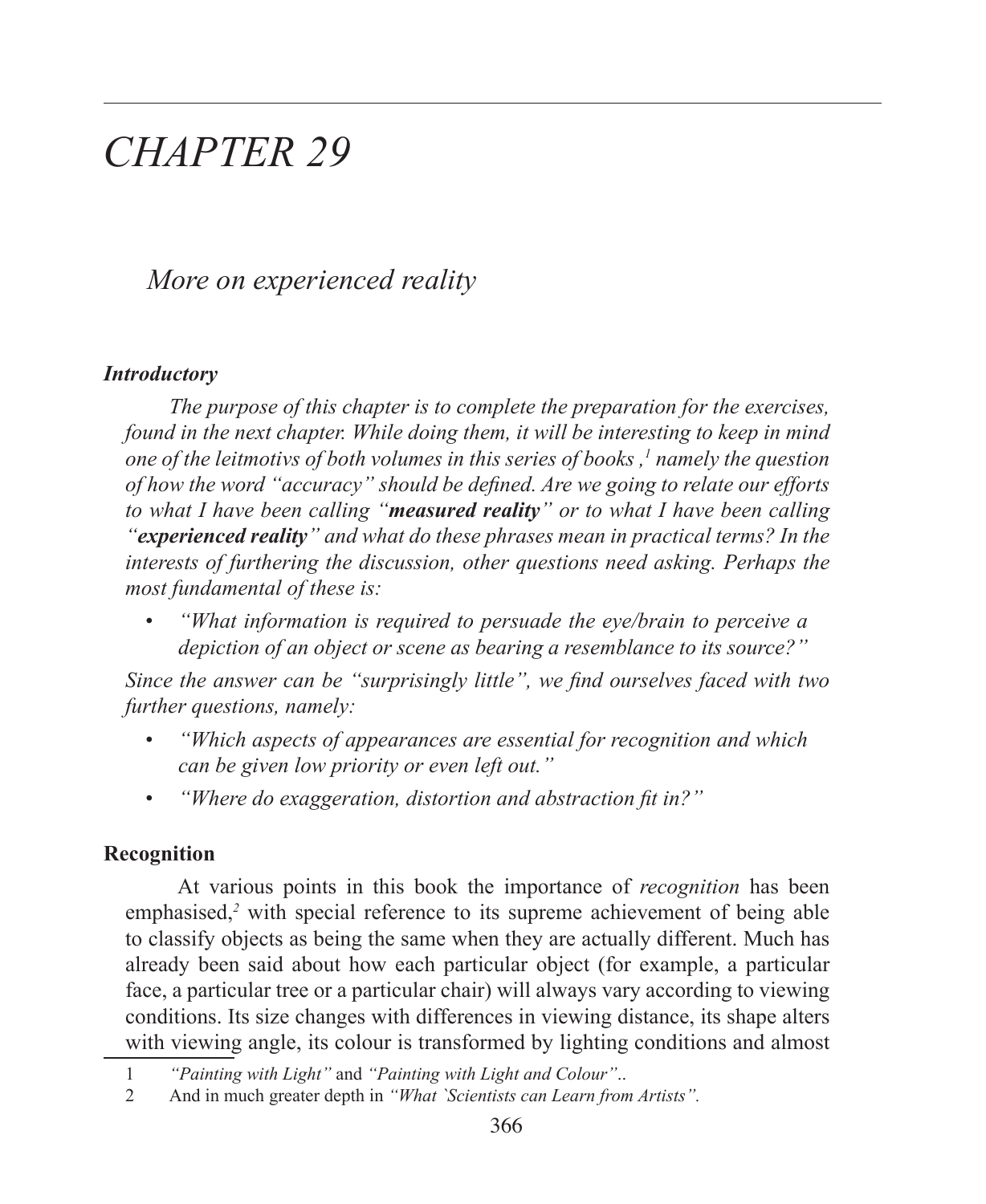# *CHAPTER 29*

*More on experienced reality*

#### *Introductory*

*The purpose of this chapter is to complete the preparation for the exercises, found in the next chapter. While doing them, it will be interesting to keep in mind one of the leitmotivs of both volumes in this series of books*,<sup>1</sup> namely the question *of how the word "accuracy" should be defined. Are we going to relate our efforts to what I have been calling "measured reality" or to what I have been calling "experienced reality" and what do these phrases mean in practical terms? In the interests of furthering the discussion, other questions need asking. Perhaps the most fundamental of these is:*

• *"What information is required to persuade the eye/brain to perceive a depiction of an object or scene as bearing a resemblance to its source?"*

*Since the answer can be "surprisingly little", we find ourselves faced with two further questions, namely:*

- *"Which aspects of appearances are essential for recognition and which can be given low priority or even left out."*
- *"Where do exaggeration, distortion and abstraction fit in?"*

## **Recognition**

 At various points in this book the importance of *recognition* has been emphasised,<sup>2</sup> with special reference to its supreme achievement of being able to classify objects as being the same when they are actually different. Much has already been said about how each particular object (for example, a particular face, a particular tree or a particular chair) will always vary according to viewing conditions. Its size changes with differences in viewing distance, its shape alters with viewing angle, its colour is transformed by lighting conditions and almost

<sup>1</sup> *"Painting with Light"* and *"Painting with Light and Colour"*..

<sup>2</sup> And in much greater depth in *"What `Scientists can Learn from Artists".*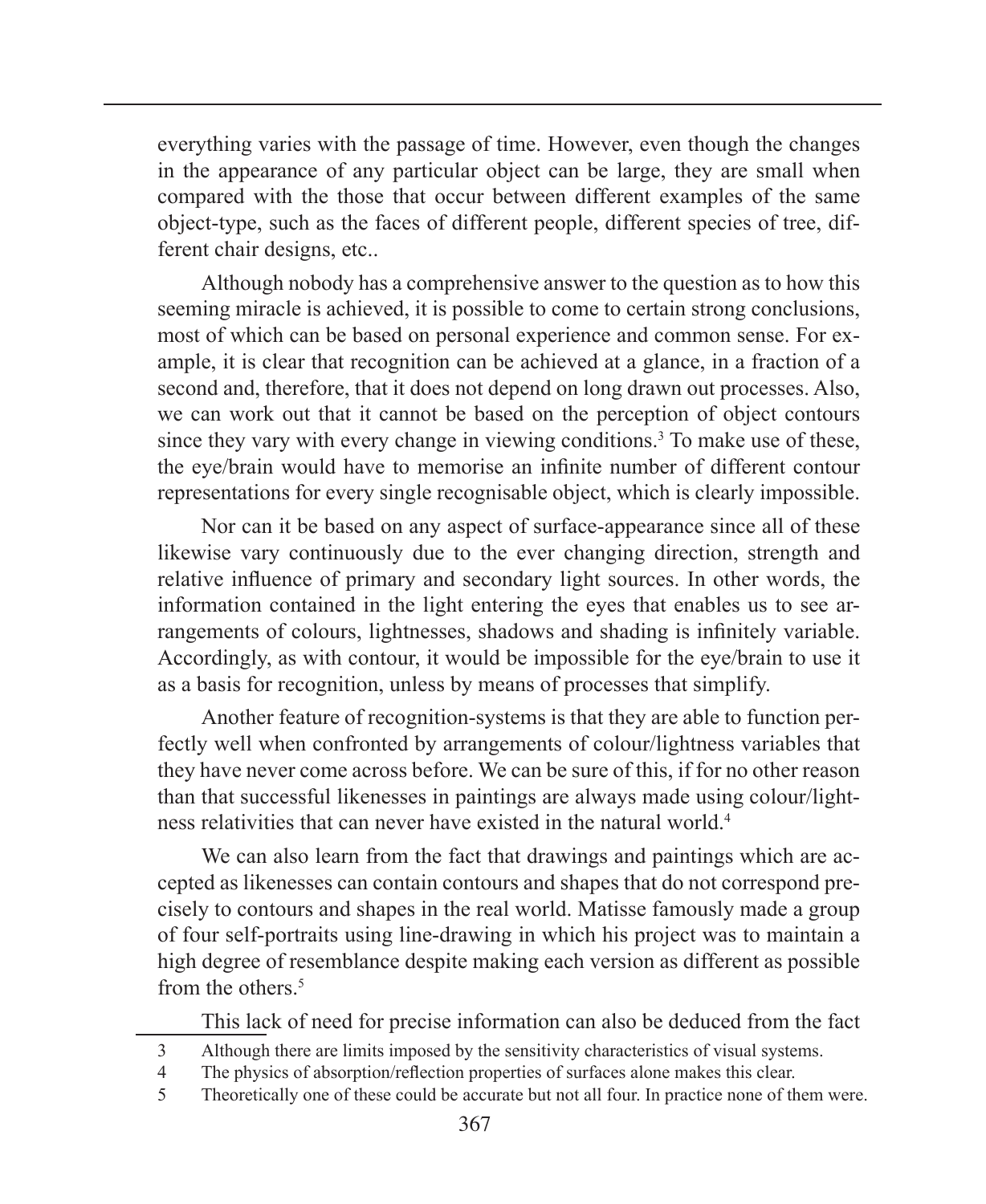everything varies with the passage of time. However, even though the changes in the appearance of any particular object can be large, they are small when compared with the those that occur between different examples of the same object-type, such as the faces of different people, different species of tree, different chair designs, etc..

Although nobody has a comprehensive answer to the question as to how this seeming miracle is achieved, it is possible to come to certain strong conclusions, most of which can be based on personal experience and common sense. For example, it is clear that recognition can be achieved at a glance, in a fraction of a second and, therefore, that it does not depend on long drawn out processes. Also, we can work out that it cannot be based on the perception of object contours since they vary with every change in viewing conditions.<sup>3</sup> To make use of these, the eye/brain would have to memorise an infinite number of different contour representations for every single recognisable object, which is clearly impossible.

Nor can it be based on any aspect of surface-appearance since all of these likewise vary continuously due to the ever changing direction, strength and relative influence of primary and secondary light sources. In other words, the information contained in the light entering the eyes that enables us to see arrangements of colours, lightnesses, shadows and shading is infinitely variable. Accordingly, as with contour, it would be impossible for the eye/brain to use it as a basis for recognition, unless by means of processes that simplify.

Another feature of recognition-systems is that they are able to function perfectly well when confronted by arrangements of colour/lightness variables that they have never come across before. We can be sure of this, if for no other reason than that successful likenesses in paintings are always made using colour/lightness relativities that can never have existed in the natural world.4

We can also learn from the fact that drawings and paintings which are accepted as likenesses can contain contours and shapes that do not correspond precisely to contours and shapes in the real world. Matisse famously made a group of four self-portraits using line-drawing in which his project was to maintain a high degree of resemblance despite making each version as different as possible from the others  $5$ 

This lack of need for precise information can also be deduced from the fact

- 3 Although there are limits imposed by the sensitivity characteristics of visual systems.
- 4 The physics of absorption/reflection properties of surfaces alone makes this clear.
- 5 Theoretically one of these could be accurate but not all four. In practice none of them were.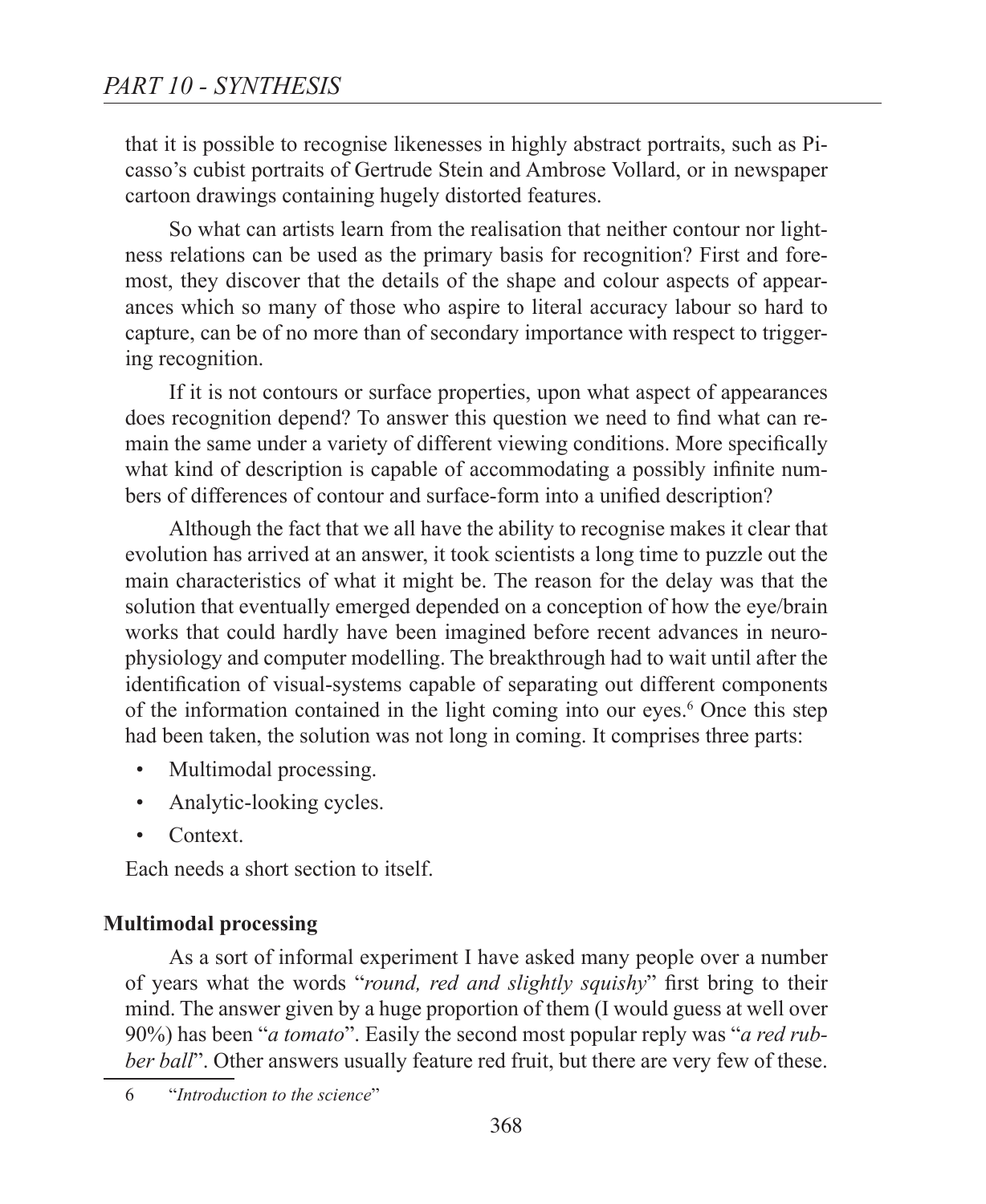that it is possible to recognise likenesses in highly abstract portraits, such as Picasso's cubist portraits of Gertrude Stein and Ambrose Vollard, or in newspaper cartoon drawings containing hugely distorted features.

So what can artists learn from the realisation that neither contour nor lightness relations can be used as the primary basis for recognition? First and foremost, they discover that the details of the shape and colour aspects of appearances which so many of those who aspire to literal accuracy labour so hard to capture, can be of no more than of secondary importance with respect to triggering recognition.

If it is not contours or surface properties, upon what aspect of appearances does recognition depend? To answer this question we need to find what can remain the same under a variety of different viewing conditions. More specifically what kind of description is capable of accommodating a possibly infinite numbers of differences of contour and surface-form into a unified description?

Although the fact that we all have the ability to recognise makes it clear that evolution has arrived at an answer, it took scientists a long time to puzzle out the main characteristics of what it might be. The reason for the delay was that the solution that eventually emerged depended on a conception of how the eye/brain works that could hardly have been imagined before recent advances in neurophysiology and computer modelling. The breakthrough had to wait until after the identification of visual-systems capable of separating out different components of the information contained in the light coming into our eyes.<sup>6</sup> Once this step had been taken, the solution was not long in coming. It comprises three parts:

- Multimodal processing.
- Analytic-looking cycles.
- Context.

Each needs a short section to itself.

#### **Multimodal processing**

As a sort of informal experiment I have asked many people over a number of years what the words "*round, red and slightly squishy*" first bring to their mind. The answer given by a huge proportion of them (I would guess at well over 90%) has been "*a tomato*". Easily the second most popular reply was "*a red rubber ball*". Other answers usually feature red fruit, but there are very few of these.

6 "*Introduction to the science*"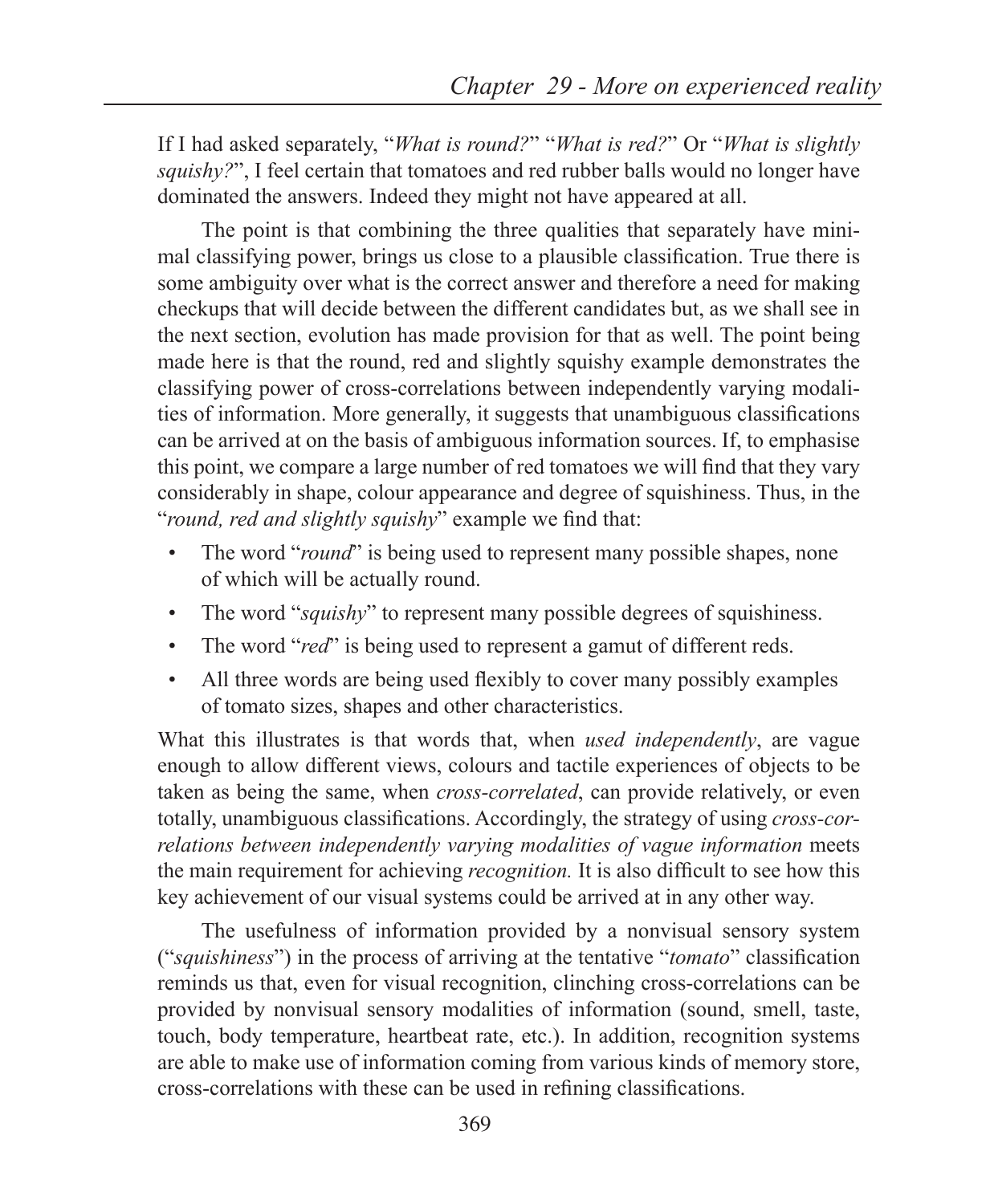If I had asked separately, "*What is round?*" "*What is red?*" Or "*What is slightly squishy?*", I feel certain that tomatoes and red rubber balls would no longer have dominated the answers. Indeed they might not have appeared at all.

The point is that combining the three qualities that separately have minimal classifying power, brings us close to a plausible classification. True there is some ambiguity over what is the correct answer and therefore a need for making checkups that will decide between the different candidates but, as we shall see in the next section, evolution has made provision for that as well. The point being made here is that the round, red and slightly squishy example demonstrates the classifying power of cross-correlations between independently varying modalities of information. More generally, it suggests that unambiguous classifications can be arrived at on the basis of ambiguous information sources. If, to emphasise this point, we compare a large number of red tomatoes we will find that they vary considerably in shape, colour appearance and degree of squishiness. Thus, in the "*round, red and slightly squishy*" example we find that:

- The word "*round*" is being used to represent many possible shapes, none of which will be actually round.
- The word "*squishy*" to represent many possible degrees of squishiness.
- The word "*red*" is being used to represent a gamut of different reds.
- All three words are being used flexibly to cover many possibly examples of tomato sizes, shapes and other characteristics.

What this illustrates is that words that, when *used independently*, are vague enough to allow different views, colours and tactile experiences of objects to be taken as being the same, when *cross-correlated*, can provide relatively, or even totally, unambiguous classifications. Accordingly, the strategy of using *cross-correlations between independently varying modalities of vague information* meets the main requirement for achieving *recognition.* It is also difficult to see how this key achievement of our visual systems could be arrived at in any other way.

The usefulness of information provided by a nonvisual sensory system ("*squishiness*") in the process of arriving at the tentative "*tomato*" classification reminds us that, even for visual recognition, clinching cross-correlations can be provided by nonvisual sensory modalities of information (sound, smell, taste, touch, body temperature, heartbeat rate, etc.). In addition, recognition systems are able to make use of information coming from various kinds of memory store, cross-correlations with these can be used in refining classifications.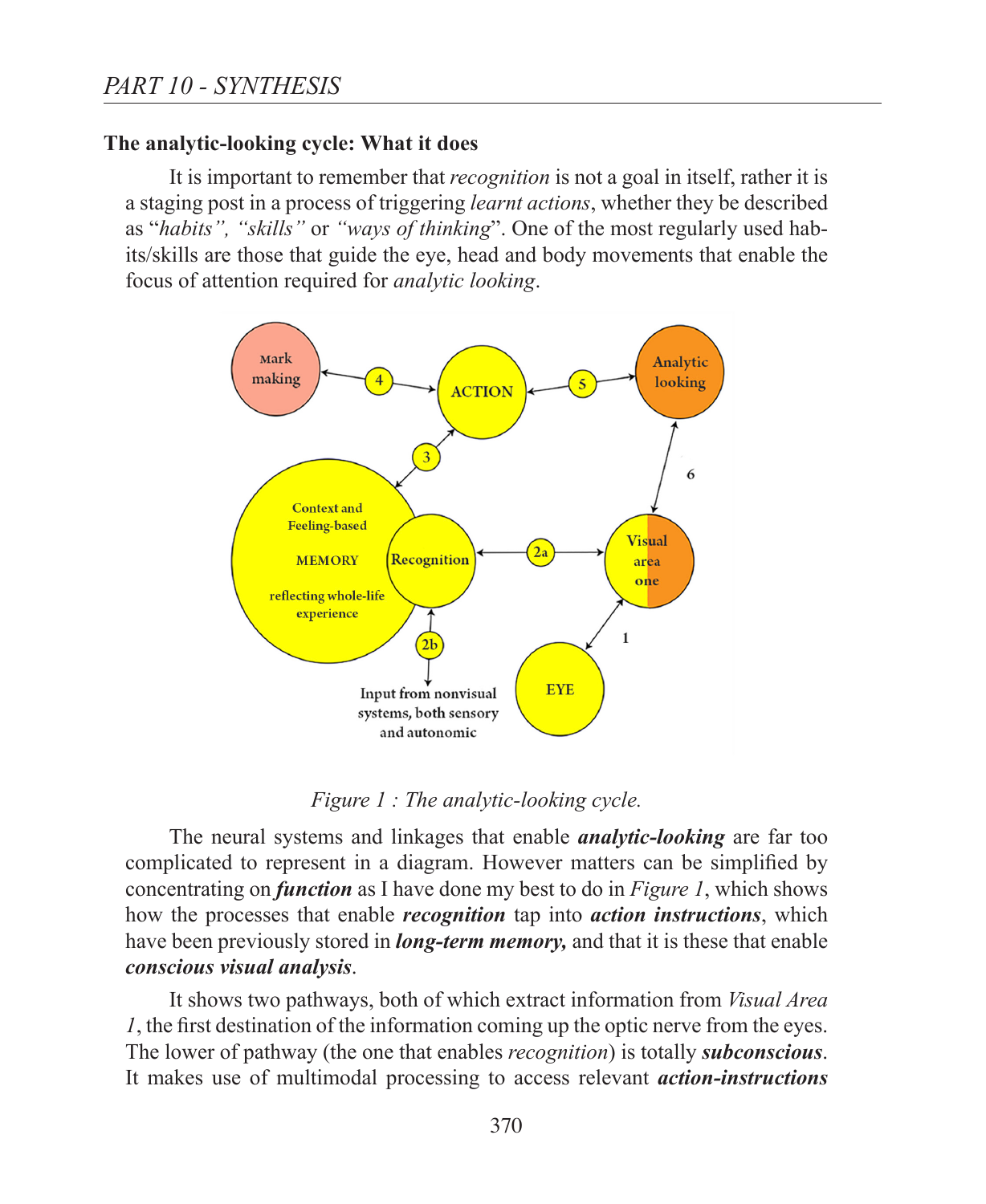## **The analytic-looking cycle: What it does**

It is important to remember that *recognition* is not a goal in itself, rather it is a staging post in a process of triggering *learnt actions*, whether they be described as "*habits", "skills"* or *"ways of thinking*". One of the most regularly used habits/skills are those that guide the eye, head and body movements that enable the focus of attention required for *analytic looking*.



*Figure 1 : The analytic-looking cycle.*

The neural systems and linkages that enable *analytic-looking* are far too complicated to represent in a diagram. However matters can be simplified by concentrating on *function* as I have done my best to do in *Figure 1*, which shows how the processes that enable *recognition* tap into *action instructions*, which have been previously stored in *long-term memory,* and that it is these that enable *conscious visual analysis*.

It shows two pathways, both of which extract information from *Visual Area 1*, the first destination of the information coming up the optic nerve from the eyes. The lower of pathway (the one that enables *recognition*) is totally *subconscious*. It makes use of multimodal processing to access relevant *action-instructions*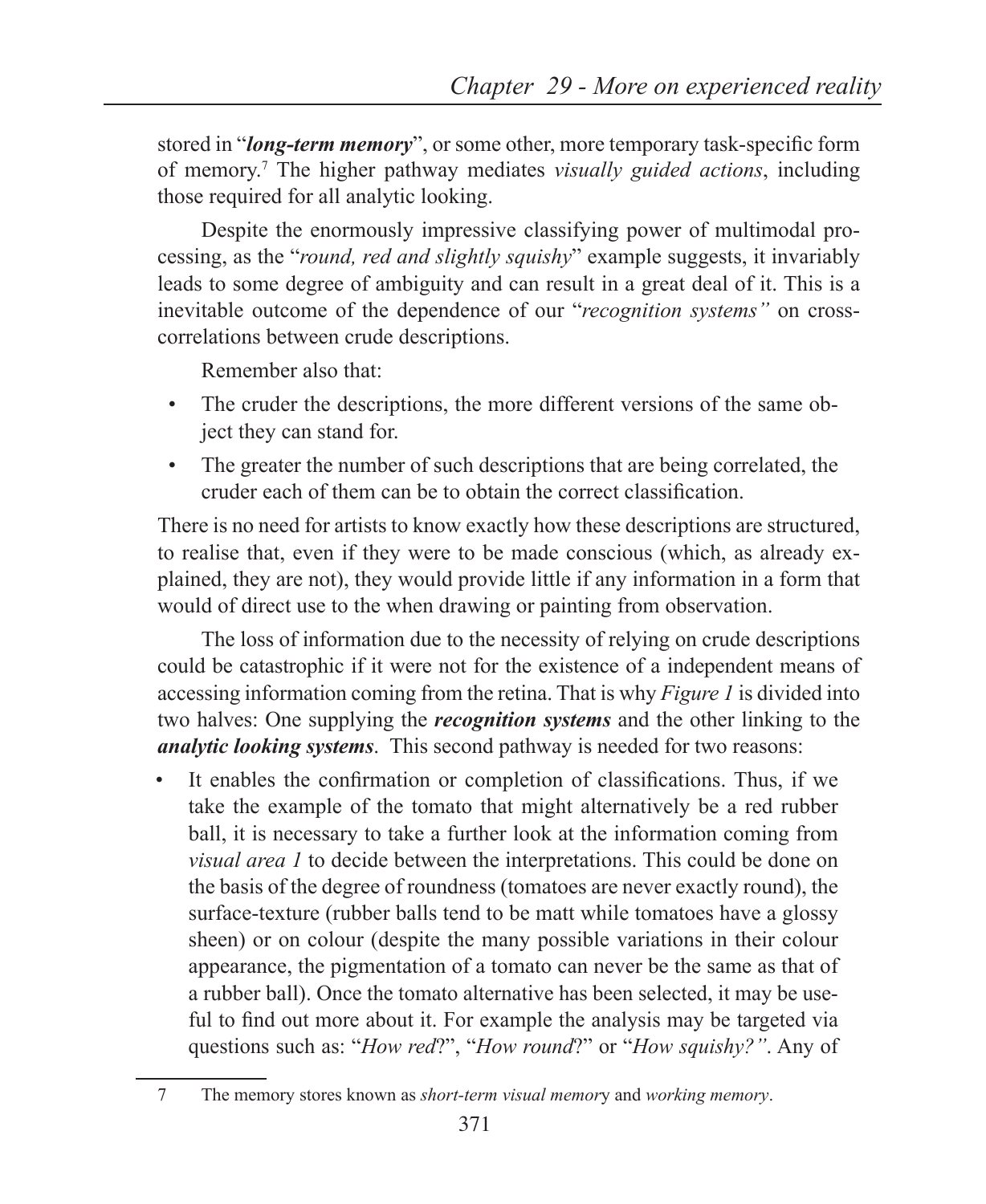stored in "*long-term memory*", or some other, more temporary task-specific form of memory.7 The higher pathway mediates *visually guided actions*, including those required for all analytic looking.

Despite the enormously impressive classifying power of multimodal processing, as the "*round, red and slightly squishy*" example suggests, it invariably leads to some degree of ambiguity and can result in a great deal of it. This is a inevitable outcome of the dependence of our "*recognition systems"* on crosscorrelations between crude descriptions.

Remember also that:

- The cruder the descriptions, the more different versions of the same object they can stand for.
- The greater the number of such descriptions that are being correlated, the cruder each of them can be to obtain the correct classification.

There is no need for artists to know exactly how these descriptions are structured, to realise that, even if they were to be made conscious (which, as already explained, they are not), they would provide little if any information in a form that would of direct use to the when drawing or painting from observation.

The loss of information due to the necessity of relying on crude descriptions could be catastrophic if it were not for the existence of a independent means of accessing information coming from the retina. That is why *Figure 1* is divided into two halves: One supplying the *recognition systems* and the other linking to the *analytic looking systems*. This second pathway is needed for two reasons:

• It enables the confirmation or completion of classifications. Thus, if we take the example of the tomato that might alternatively be a red rubber ball, it is necessary to take a further look at the information coming from *visual area 1* to decide between the interpretations. This could be done on the basis of the degree of roundness (tomatoes are never exactly round), the surface-texture (rubber balls tend to be matt while tomatoes have a glossy sheen) or on colour (despite the many possible variations in their colour appearance, the pigmentation of a tomato can never be the same as that of a rubber ball). Once the tomato alternative has been selected, it may be useful to find out more about it. For example the analysis may be targeted via questions such as: "*How red*?", "*How round*?" or "*How squishy?"*. Any of

<sup>7</sup> The memory stores known as *short-term visual memor*y and *working memory*.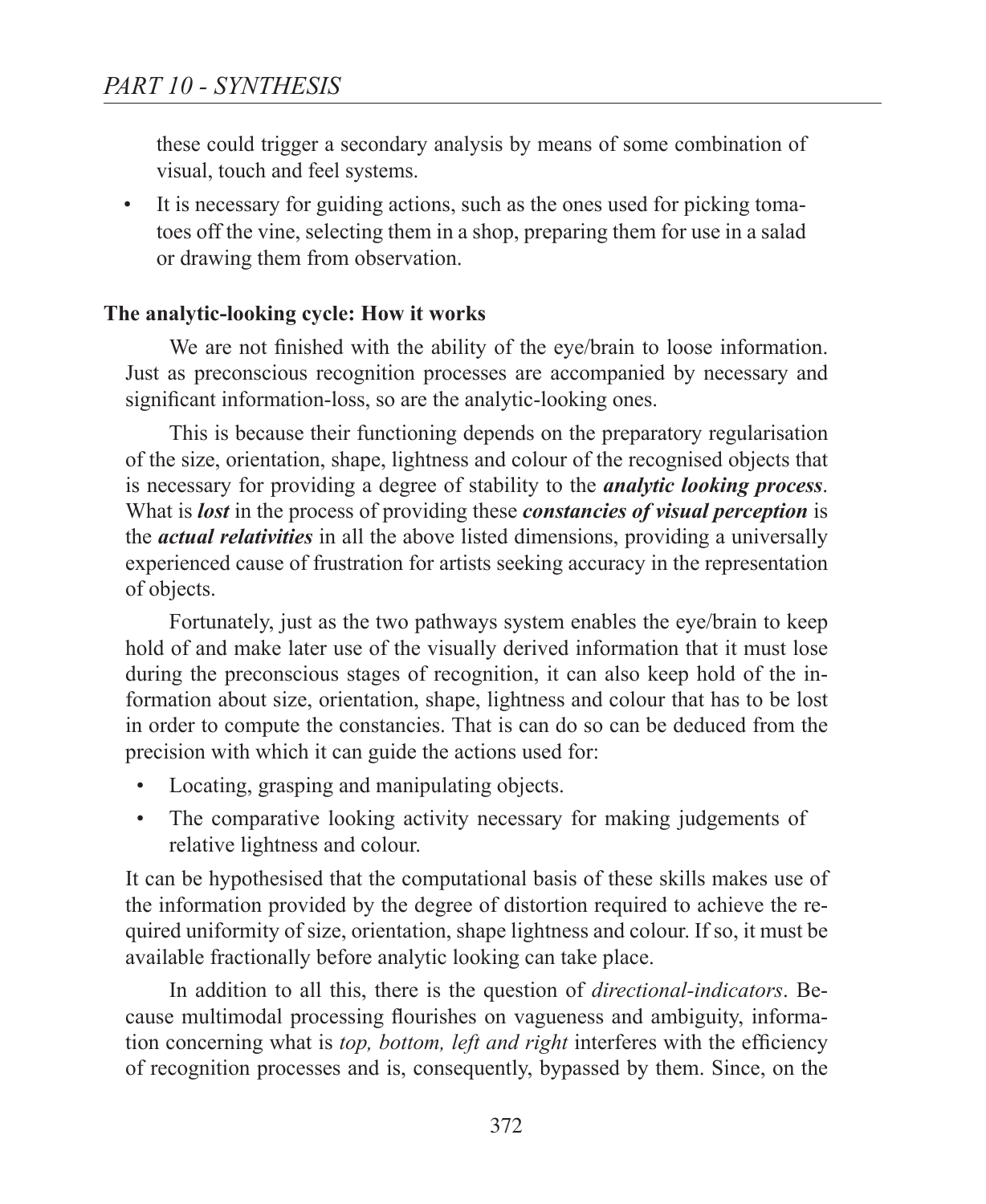these could trigger a secondary analysis by means of some combination of visual, touch and feel systems.

• It is necessary for guiding actions, such as the ones used for picking tomatoes off the vine, selecting them in a shop, preparing them for use in a salad or drawing them from observation.

## **The analytic-looking cycle: How it works**

We are not finished with the ability of the eye/brain to loose information. Just as preconscious recognition processes are accompanied by necessary and significant information-loss, so are the analytic-looking ones.

This is because their functioning depends on the preparatory regularisation of the size, orientation, shape, lightness and colour of the recognised objects that is necessary for providing a degree of stability to the *analytic looking process*. What is *lost* in the process of providing these *constancies of visual perception* is the *actual relativities* in all the above listed dimensions, providing a universally experienced cause of frustration for artists seeking accuracy in the representation of objects.

Fortunately, just as the two pathways system enables the eye/brain to keep hold of and make later use of the visually derived information that it must lose during the preconscious stages of recognition, it can also keep hold of the information about size, orientation, shape, lightness and colour that has to be lost in order to compute the constancies. That is can do so can be deduced from the precision with which it can guide the actions used for:

- Locating, grasping and manipulating objects.
- The comparative looking activity necessary for making judgements of relative lightness and colour.

It can be hypothesised that the computational basis of these skills makes use of the information provided by the degree of distortion required to achieve the required uniformity of size, orientation, shape lightness and colour. If so, it must be available fractionally before analytic looking can take place.

In addition to all this, there is the question of *directional-indicators*. Because multimodal processing flourishes on vagueness and ambiguity, information concerning what is *top, bottom, left and right* interferes with the efficiency of recognition processes and is, consequently, bypassed by them. Since, on the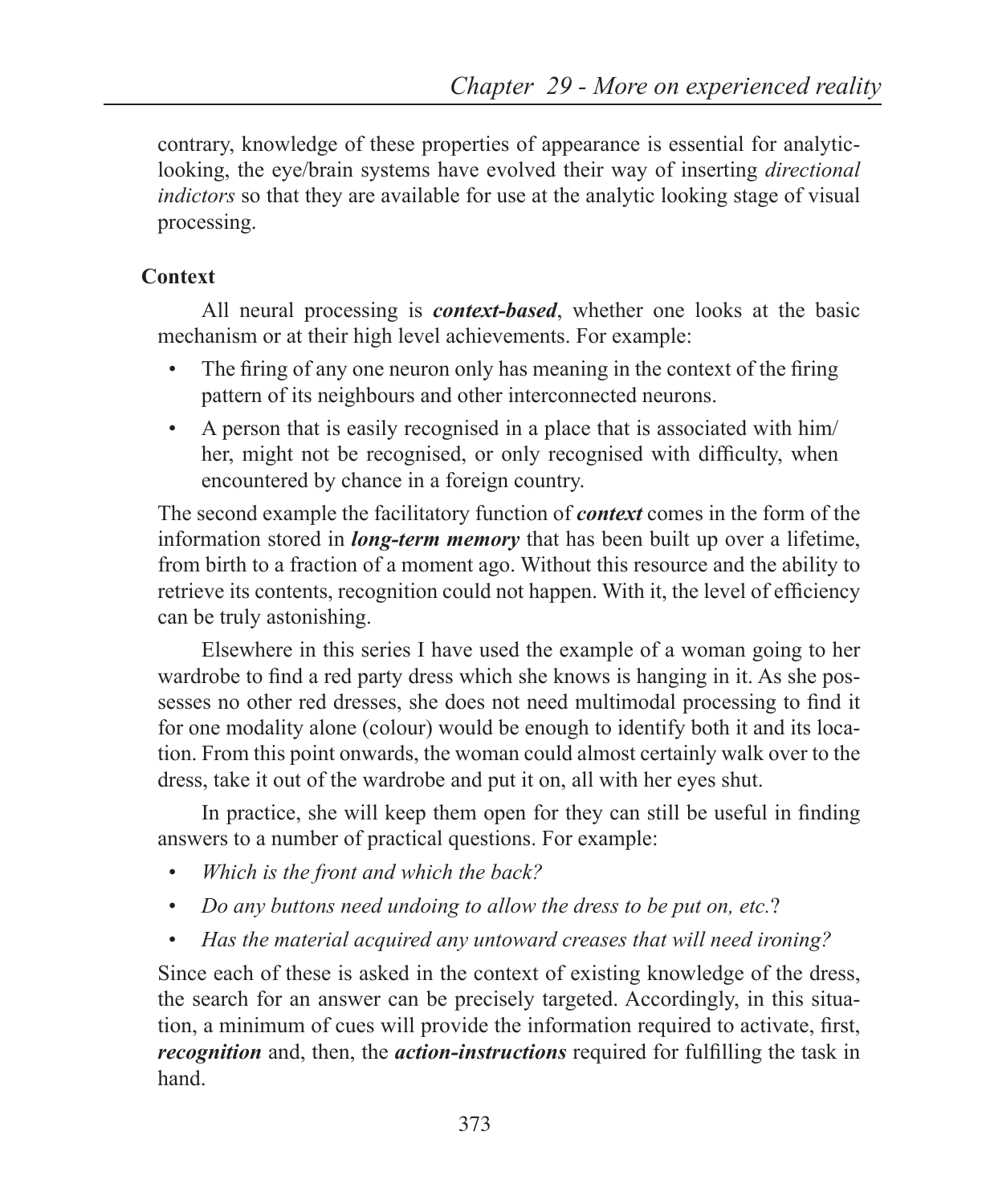contrary, knowledge of these properties of appearance is essential for analyticlooking, the eye/brain systems have evolved their way of inserting *directional indictors* so that they are available for use at the analytic looking stage of visual processing.

## **Context**

All neural processing is *context-based*, whether one looks at the basic mechanism or at their high level achievements. For example:

- The firing of any one neuron only has meaning in the context of the firing pattern of its neighbours and other interconnected neurons.
- A person that is easily recognised in a place that is associated with him/ her, might not be recognised, or only recognised with difficulty, when encountered by chance in a foreign country.

The second example the facilitatory function of *context* comes in the form of the information stored in *long-term memory* that has been built up over a lifetime, from birth to a fraction of a moment ago. Without this resource and the ability to retrieve its contents, recognition could not happen. With it, the level of efficiency can be truly astonishing.

Elsewhere in this series I have used the example of a woman going to her wardrobe to find a red party dress which she knows is hanging in it. As she possesses no other red dresses, she does not need multimodal processing to find it for one modality alone (colour) would be enough to identify both it and its location. From this point onwards, the woman could almost certainly walk over to the dress, take it out of the wardrobe and put it on, all with her eyes shut.

In practice, she will keep them open for they can still be useful in finding answers to a number of practical questions. For example:

- *Which is the front and which the back?*
- *Do any buttons need undoing to allow the dress to be put on, etc.*?
- *Has the material acquired any untoward creases that will need ironing?*

Since each of these is asked in the context of existing knowledge of the dress, the search for an answer can be precisely targeted. Accordingly, in this situation, a minimum of cues will provide the information required to activate, first, *recognition* and, then, the *action-instructions* required for fulfilling the task in hand.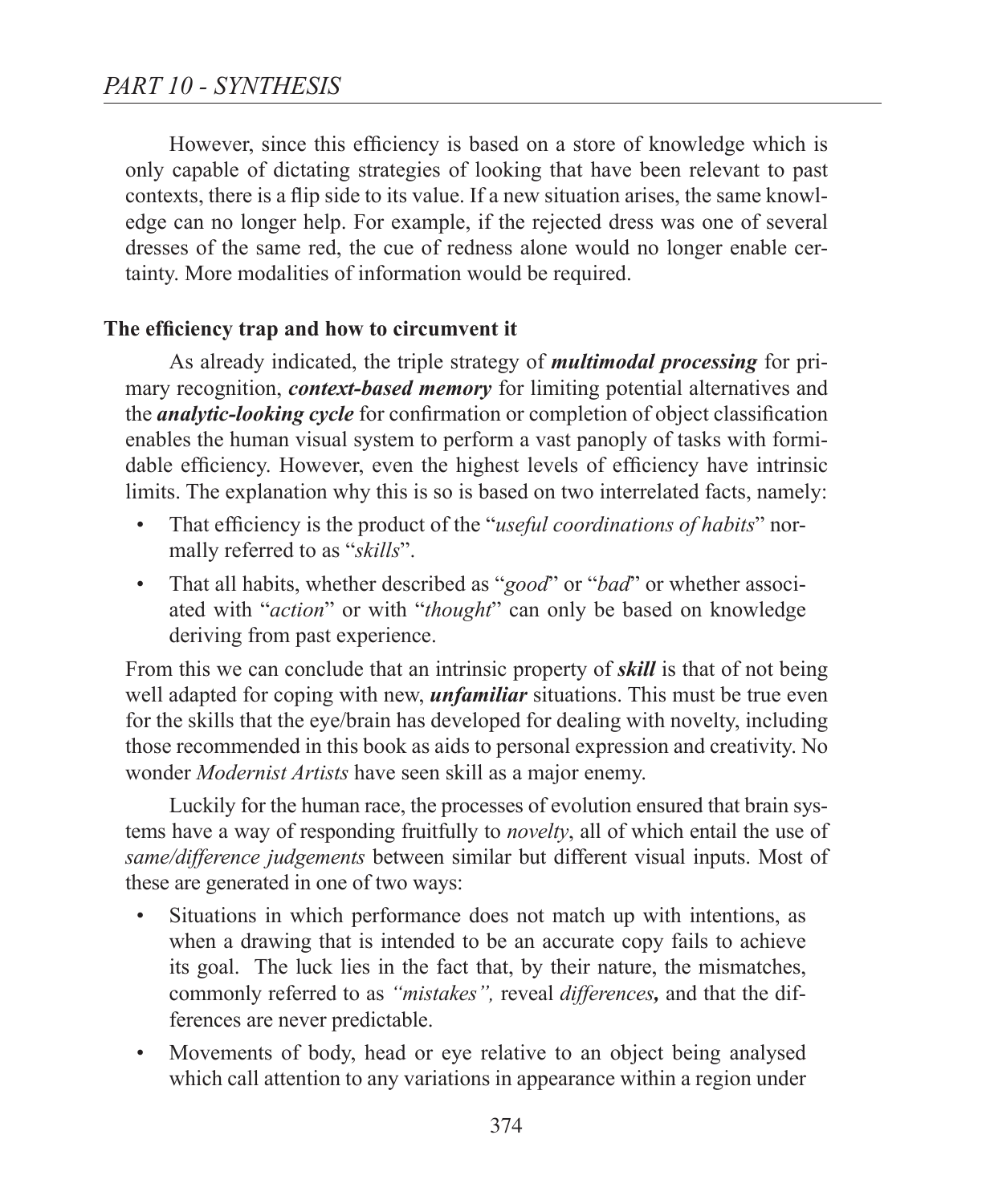However, since this efficiency is based on a store of knowledge which is only capable of dictating strategies of looking that have been relevant to past contexts, there is a flip side to its value. If a new situation arises, the same knowledge can no longer help. For example, if the rejected dress was one of several dresses of the same red, the cue of redness alone would no longer enable certainty. More modalities of information would be required.

## **The efficiency trap and how to circumvent it**

As already indicated, the triple strategy of *multimodal processing* for primary recognition, *context-based memory* for limiting potential alternatives and the *analytic-looking cycle* for confirmation or completion of object classification enables the human visual system to perform a vast panoply of tasks with formidable efficiency. However, even the highest levels of efficiency have intrinsic limits. The explanation why this is so is based on two interrelated facts, namely:

- That efficiency is the product of the "*useful coordinations of habits*" normally referred to as "*skills*".
- That all habits, whether described as "*good*" or "*bad*" or whether associated with "*action*" or with "*thought*" can only be based on knowledge deriving from past experience.

From this we can conclude that an intrinsic property of *skill* is that of not being well adapted for coping with new, *unfamiliar* situations. This must be true even for the skills that the eye/brain has developed for dealing with novelty, including those recommended in this book as aids to personal expression and creativity. No wonder *Modernist Artists* have seen skill as a major enemy.

Luckily for the human race, the processes of evolution ensured that brain systems have a way of responding fruitfully to *novelty*, all of which entail the use of *same/difference judgements* between similar but different visual inputs. Most of these are generated in one of two ways:

- Situations in which performance does not match up with intentions, as when a drawing that is intended to be an accurate copy fails to achieve its goal. The luck lies in the fact that, by their nature, the mismatches, commonly referred to as *"mistakes",* reveal *differences,* and that the differences are never predictable.
- Movements of body, head or eye relative to an object being analysed which call attention to any variations in appearance within a region under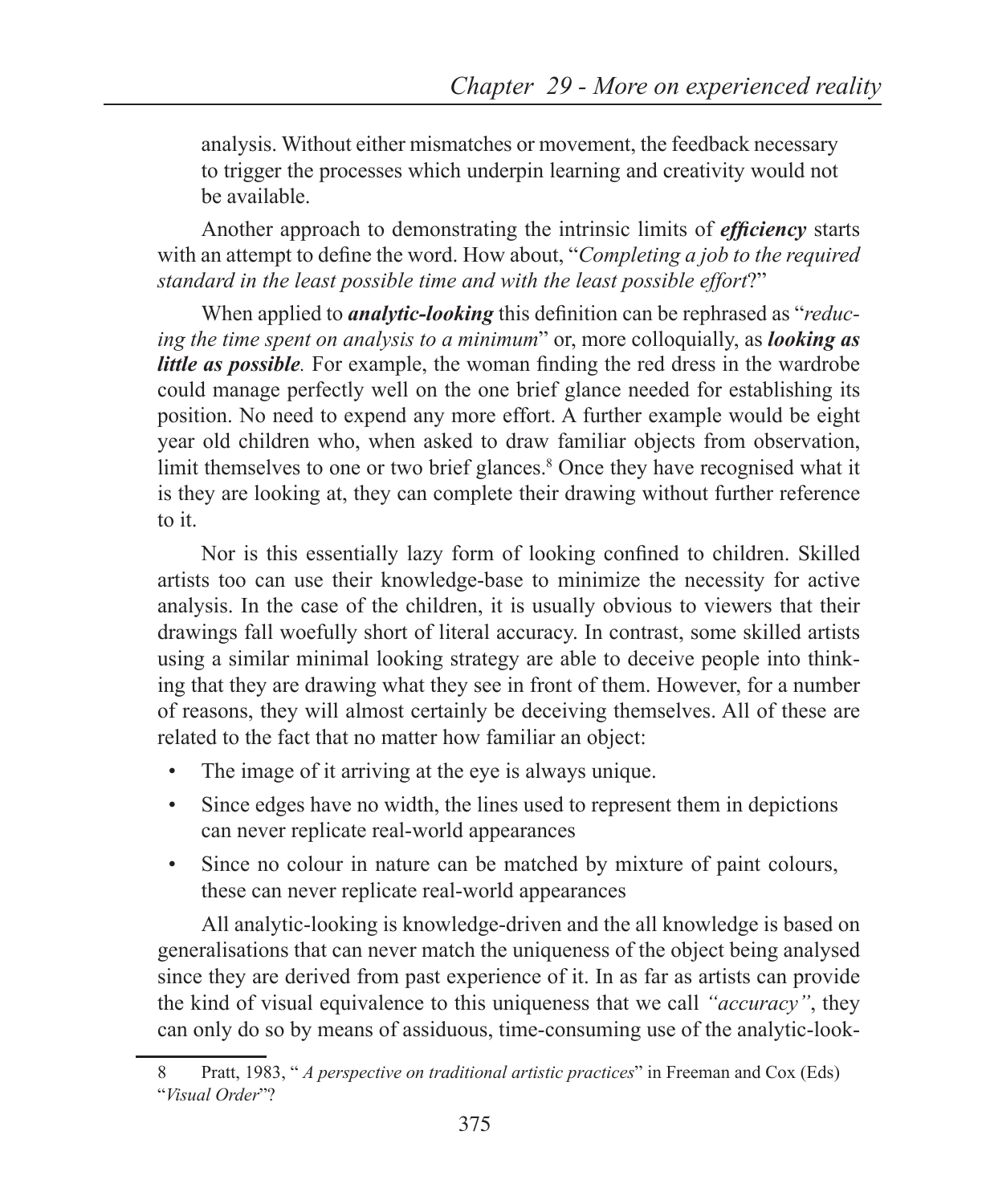analysis. Without either mismatches or movement, the feedback necessary to trigger the processes which underpin learning and creativity would not be available.

Another approach to demonstrating the intrinsic limits of *efficiency* starts with an attempt to define the word. How about, "*Completing a job to the required standard in the least possible time and with the least possible effort*?"

When applied to *analytic-looking* this definition can be rephrased as "*reducing the time spent on analysis to a minimum*" or, more colloquially, as *looking as little as possible.* For example, the woman finding the red dress in the wardrobe could manage perfectly well on the one brief glance needed for establishing its position. No need to expend any more effort. A further example would be eight year old children who, when asked to draw familiar objects from observation, limit themselves to one or two brief glances.<sup>8</sup> Once they have recognised what it is they are looking at, they can complete their drawing without further reference to it.

Nor is this essentially lazy form of looking confined to children. Skilled artists too can use their knowledge-base to minimize the necessity for active analysis. In the case of the children, it is usually obvious to viewers that their drawings fall woefully short of literal accuracy. In contrast, some skilled artists using a similar minimal looking strategy are able to deceive people into thinking that they are drawing what they see in front of them. However, for a number of reasons, they will almost certainly be deceiving themselves. All of these are related to the fact that no matter how familiar an object:

- The image of it arriving at the eye is always unique.
- Since edges have no width, the lines used to represent them in depictions can never replicate real-world appearances
- Since no colour in nature can be matched by mixture of paint colours, these can never replicate real-world appearances

All analytic-looking is knowledge-driven and the all knowledge is based on generalisations that can never match the uniqueness of the object being analysed since they are derived from past experience of it. In as far as artists can provide the kind of visual equivalence to this uniqueness that we call *"accuracy"*, they can only do so by means of assiduous, time-consuming use of the analytic-look-

<sup>8</sup> Pratt, 1983, " *A perspective on traditional artistic practices*" in Freeman and Cox (Eds) "*Visual Order*"?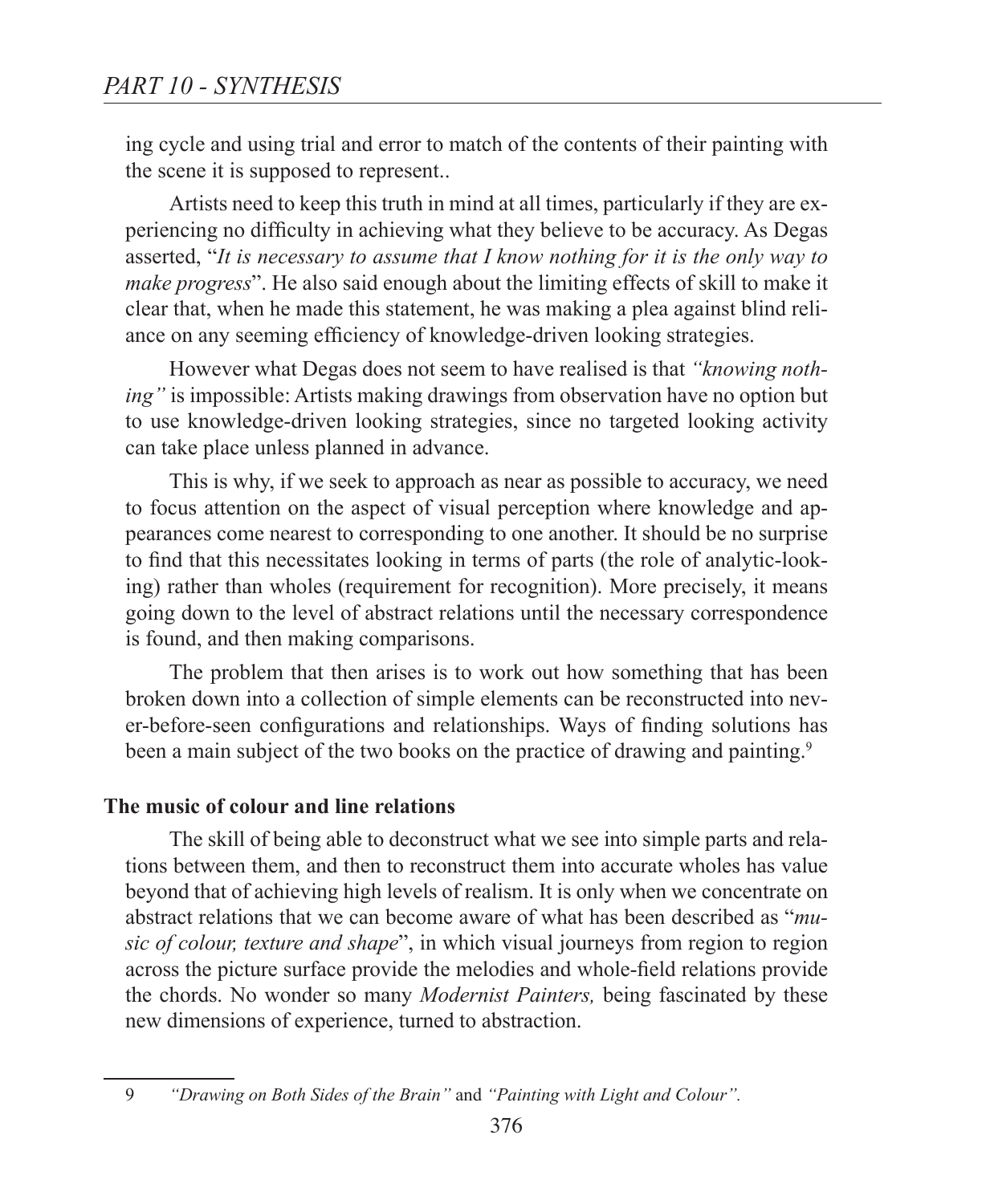ing cycle and using trial and error to match of the contents of their painting with the scene it is supposed to represent..

Artists need to keep this truth in mind at all times, particularly if they are experiencing no difficulty in achieving what they believe to be accuracy. As Degas asserted, "*It is necessary to assume that I know nothing for it is the only way to make progress*". He also said enough about the limiting effects of skill to make it clear that, when he made this statement, he was making a plea against blind reliance on any seeming efficiency of knowledge-driven looking strategies.

However what Degas does not seem to have realised is that *"knowing nothing"* is impossible: Artists making drawings from observation have no option but to use knowledge-driven looking strategies, since no targeted looking activity can take place unless planned in advance.

This is why, if we seek to approach as near as possible to accuracy, we need to focus attention on the aspect of visual perception where knowledge and appearances come nearest to corresponding to one another. It should be no surprise to find that this necessitates looking in terms of parts (the role of analytic-looking) rather than wholes (requirement for recognition). More precisely, it means going down to the level of abstract relations until the necessary correspondence is found, and then making comparisons.

The problem that then arises is to work out how something that has been broken down into a collection of simple elements can be reconstructed into never-before-seen configurations and relationships. Ways of finding solutions has been a main subject of the two books on the practice of drawing and painting.<sup>9</sup>

#### **The music of colour and line relations**

The skill of being able to deconstruct what we see into simple parts and relations between them, and then to reconstruct them into accurate wholes has value beyond that of achieving high levels of realism. It is only when we concentrate on abstract relations that we can become aware of what has been described as "*music of colour, texture and shape*", in which visual journeys from region to region across the picture surface provide the melodies and whole-field relations provide the chords. No wonder so many *Modernist Painters,* being fascinated by these new dimensions of experience, turned to abstraction.

<sup>9</sup> *"Drawing on Both Sides of the Brain"* and *"Painting with Light and Colour".*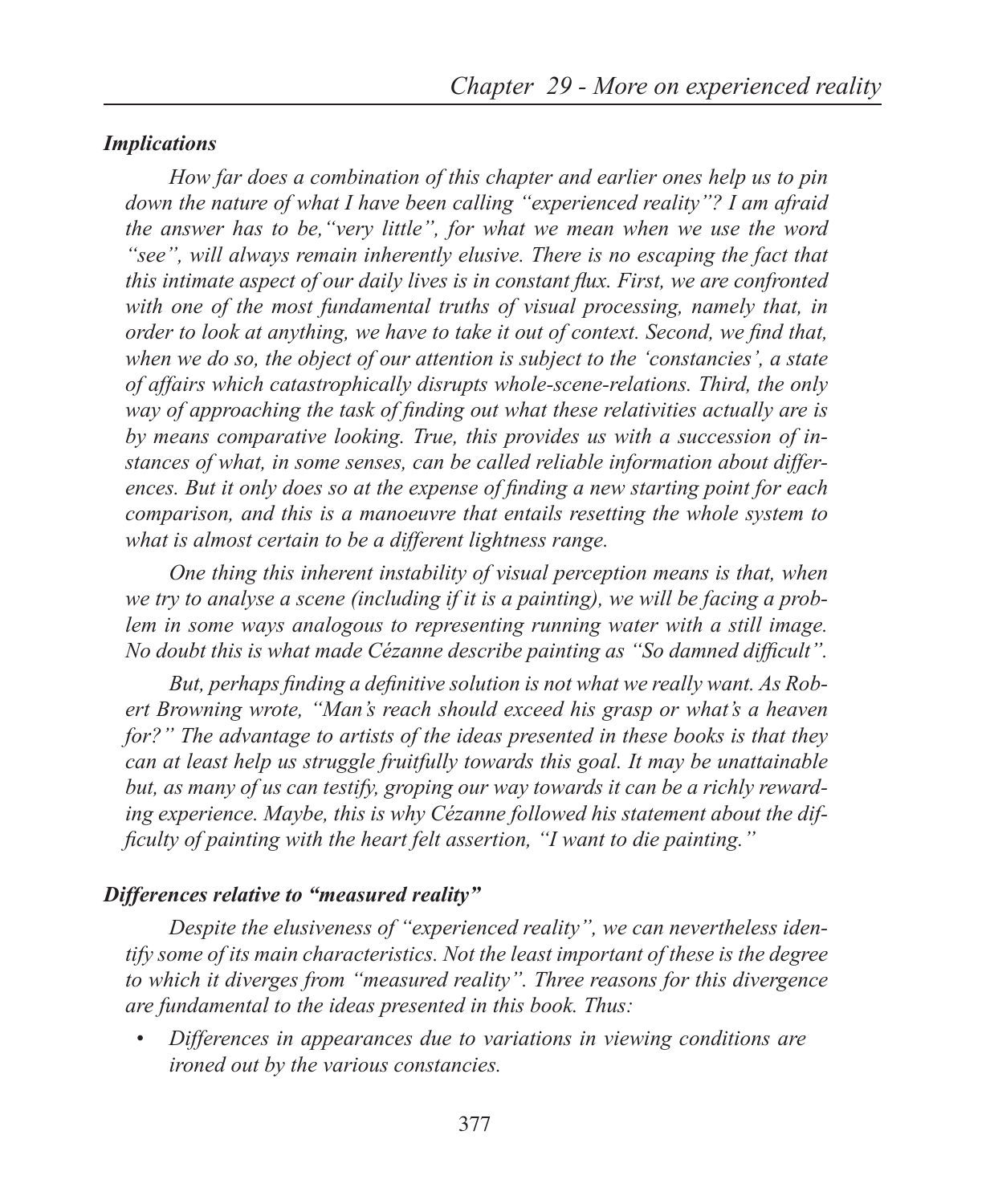#### *Implications*

*How far does a combination of this chapter and earlier ones help us to pin down the nature of what I have been calling "experienced reality"? I am afraid the answer has to be,"very little", for what we mean when we use the word "see", will always remain inherently elusive. There is no escaping the fact that this intimate aspect of our daily lives is in constant flux. First, we are confronted with one of the most fundamental truths of visual processing, namely that, in order to look at anything, we have to take it out of context. Second, we find that, when we do so, the object of our attention is subject to the 'constancies', a state of affairs which catastrophically disrupts whole-scene-relations. Third, the only way of approaching the task of finding out what these relativities actually are is by means comparative looking. True, this provides us with a succession of instances of what, in some senses, can be called reliable information about differences. But it only does so at the expense of finding a new starting point for each comparison, and this is a manoeuvre that entails resetting the whole system to what is almost certain to be a different lightness range.*

*One thing this inherent instability of visual perception means is that, when we try to analyse a scene (including if it is a painting), we will be facing a problem in some ways analogous to representing running water with a still image. No doubt this is what made Cézanne describe painting as "So damned difficult".*

*But, perhaps finding a definitive solution is not what we really want. As Robert Browning wrote, "Man's reach should exceed his grasp or what's a heaven for?" The advantage to artists of the ideas presented in these books is that they can at least help us struggle fruitfully towards this goal. It may be unattainable but, as many of us can testify, groping our way towards it can be a richly rewarding experience. Maybe, this is why Cézanne followed his statement about the difficulty of painting with the heart felt assertion, "I want to die painting."*

## *Differences relative to "measured reality"*

*Despite the elusiveness of "experienced reality", we can nevertheless identify some of its main characteristics. Not the least important of these is the degree to which it diverges from "measured reality". Three reasons for this divergence are fundamental to the ideas presented in this book. Thus:*

• *Differences in appearances due to variations in viewing conditions are ironed out by the various constancies.*